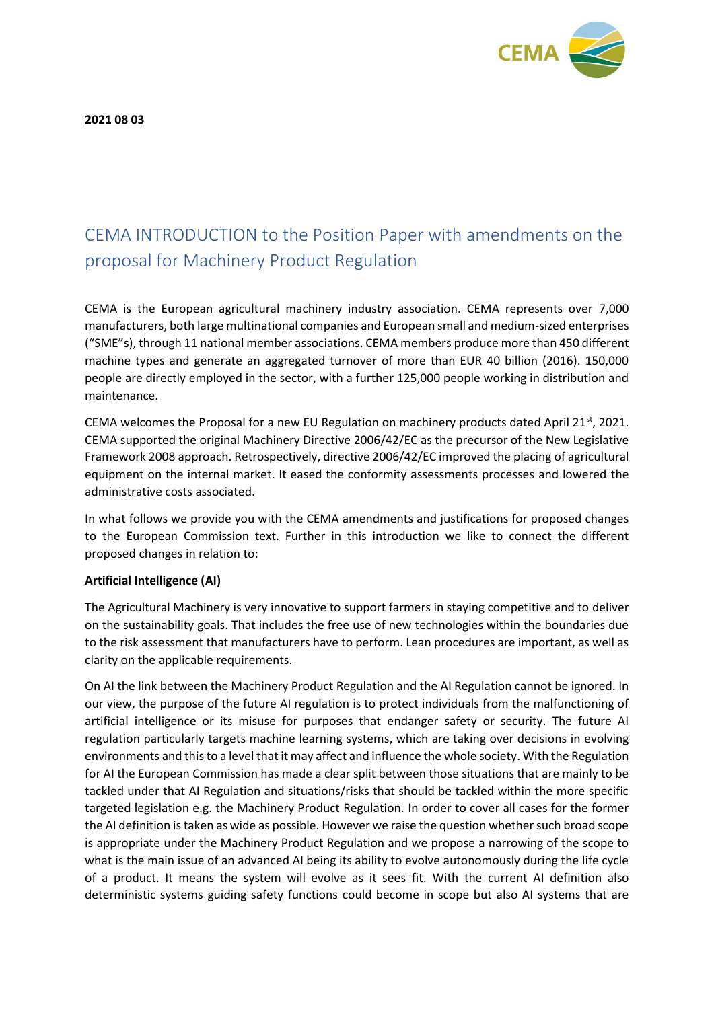

**2021 08 03**

## CEMA INTRODUCTION to the Position Paper with amendments on the proposal for Machinery Product Regulation

CEMA is the European agricultural machinery industry association. CEMA represents over 7,000 manufacturers, both large multinational companies and European small and medium-sized enterprises ("SME"s), through 11 national member associations. CEMA members produce more than 450 different machine types and generate an aggregated turnover of more than EUR 40 billion (2016). 150,000 people are directly employed in the sector, with a further 125,000 people working in distribution and maintenance.

CEMA welcomes the Proposal for a new EU Regulation on machinery products dated April 21<sup>st</sup>, 2021. CEMA supported the original Machinery Directive 2006/42/EC as the precursor of the New Legislative Framework 2008 approach. Retrospectively, directive 2006/42/EC improved the placing of agricultural equipment on the internal market. It eased the conformity assessments processes and lowered the administrative costs associated.

In what follows we provide you with the CEMA amendments and justifications for proposed changes to the European Commission text. Further in this introduction we like to connect the different proposed changes in relation to:

## **Artificial Intelligence (AI)**

The Agricultural Machinery is very innovative to support farmers in staying competitive and to deliver on the sustainability goals. That includes the free use of new technologies within the boundaries due to the risk assessment that manufacturers have to perform. Lean procedures are important, as well as clarity on the applicable requirements.

On AI the link between the Machinery Product Regulation and the AI Regulation cannot be ignored. In our view, the purpose of the future AI regulation is to protect individuals from the malfunctioning of artificial intelligence or its misuse for purposes that endanger safety or security. The future AI regulation particularly targets machine learning systems, which are taking over decisions in evolving environments and this to a level that it may affect and influence the whole society. With the Regulation for AI the European Commission has made a clear split between those situations that are mainly to be tackled under that AI Regulation and situations/risks that should be tackled within the more specific targeted legislation e.g. the Machinery Product Regulation. In order to cover all cases for the former the AI definition is taken as wide as possible. However we raise the question whether such broad scope is appropriate under the Machinery Product Regulation and we propose a narrowing of the scope to what is the main issue of an advanced AI being its ability to evolve autonomously during the life cycle of a product. It means the system will evolve as it sees fit. With the current AI definition also deterministic systems guiding safety functions could become in scope but also AI systems that are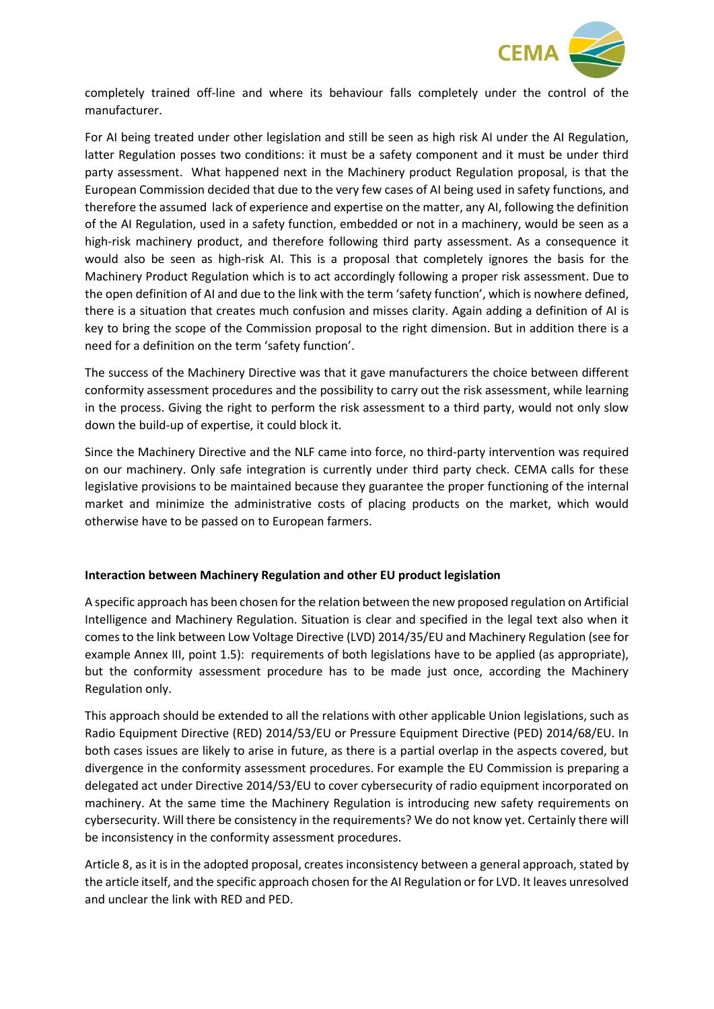

completely trained off-line and where its behaviour falls completely under the control of the manufacturer.

For AI being treated under other legislation and still be seen as high risk AI under the AI Regulation, latter Regulation posses two conditions: it must be a safety component and it must be under third party assessment. What happened next in the Machinery product Regulation proposal, is that the European Commission decided that due to the very few cases of AI being used in safety functions, and therefore the assumed lack of experience and expertise on the matter, any AI, following the definition of the AI Regulation, used in a safety function, embedded or not in a machinery, would be seen as a high-risk machinery product, and therefore following third party assessment. As a consequence it would also be seen as high-risk AI. This is a proposal that completely ignores the basis for the Machinery Product Regulation which is to act accordingly following a proper risk assessment. Due to the open definition of AI and due to the link with the term 'safety function', which is nowhere defined, there is a situation that creates much confusion and misses clarity. Again adding a definition of AI is key to bring the scope of the Commission proposal to the right dimension. But in addition there is a need for a definition on the term 'safety function'.

The success of the Machinery Directive was that it gave manufacturers the choice between different conformity assessment procedures and the possibility to carry out the risk assessment, while learning in the process. Giving the right to perform the risk assessment to a third party, would not only slow down the build-up of expertise, it could block it.

Since the Machinery Directive and the NLF came into force, no third-party intervention was required on our machinery. Only safe integration is currently under third party check. CEMA calls for these legislative provisions to be maintained because they guarantee the proper functioning of the internal market and minimize the administrative costs of placing products on the market, which would otherwise have to be passed on to European farmers.

## **Interaction between Machinery Regulation and other EU product legislation**

A specific approach has been chosen for the relation between the new proposed regulation on Artificial Intelligence and Machinery Regulation. Situation is clear and specified in the legal text also when it comes to the link between Low Voltage Directive (LVD) 2014/35/EU and Machinery Regulation (see for example Annex III, point 1.5): requirements of both legislations have to be applied (as appropriate), but the conformity assessment procedure has to be made just once, according the Machinery Regulation only.

This approach should be extended to all the relations with other applicable Union legislations, such as Radio Equipment Directive (RED) 2014/53/EU or Pressure Equipment Directive (PED) 2014/68/EU. In both cases issues are likely to arise in future, as there is a partial overlap in the aspects covered, but divergence in the conformity assessment procedures. For example the EU Commission is preparing a delegated act under Directive 2014/53/EU to cover cybersecurity of radio equipment incorporated on machinery. At the same time the Machinery Regulation is introducing new safety requirements on cybersecurity. Will there be consistency in the requirements? We do not know yet. Certainly there will be inconsistency in the conformity assessment procedures.

Article 8, as it is in the adopted proposal, creates inconsistency between a general approach, stated by the article itself, and the specific approach chosen for the AI Regulation or for LVD. It leaves unresolved and unclear the link with RED and PED.